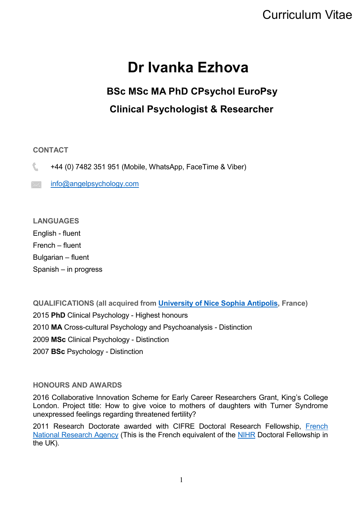## Curriculum Vitae

# **Dr Ivanka Ezhova**

## **BSc MSc MA PhD CPsychol EuroPsy Clinical Psychologist & Researcher**

#### **CONTACT**

+44 (0) 7482 351 951 (Mobile, WhatsApp, FaceTime & Viber)

 $\mathbb{R}$  [info@angelpsychology.com](mailto:info@angelpsychology.com)

**LANGUAGES**  English - fluent French – fluent Bulgarian – fluent Spanish – in progress

**QUALIFICATIONS (all acquired from [University of Nice Sophia Antipolis,](http://unice.fr/) France) PhD** Clinical Psychology - Highest honours **MA** Cross-cultural Psychology and Psychoanalysis - Distinction **MSc** Clinical Psychology - Distinction **BSc** Psychology - Distinction

#### **HONOURS AND AWARDS**

2016 Collaborative Innovation Scheme for Early Career Researchers Grant, King's College London. Project title: How to give voice to mothers of daughters with Turner Syndrome unexpressed feelings regarding threatened fertility?

2011 Research Doctorate awarded with CIFRE Doctoral Research Fellowship, [French](https://anr.fr/en/anrs-role-in-research/missions/)  [National Research Agency](https://anr.fr/en/anrs-role-in-research/missions/) (This is the French equivalent of the [NIHR](https://www.nihr.ac.uk/) Doctoral Fellowship in the UK).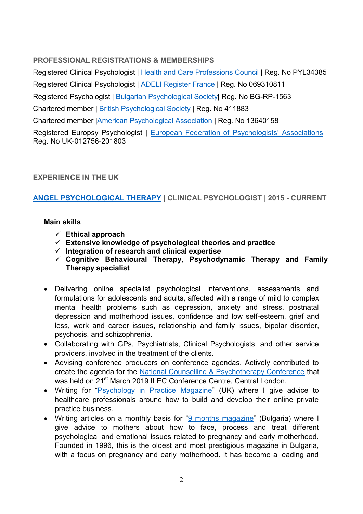## **PROFESSIONAL REGISTRATIONS & MEMBERSHIPS**

Registered Clinical Psychologist | [Health and Care Professions Council](https://www.hcpc-uk.org/) | Reg. No PYL34385 Registered Clinical Psychologist | [ADELI Register France](https://www.iledefrance.ars.sante.fr/numero-adeli-0) | Reg. No 069310811 Registered Psychologist | [Bulgarian Psychological Society|](https://psychology-resources.org/explore-psychology/association-organisation-information/country-information/bulgaria/bulgaria-bulgarian-psychological-society/) Reg. No BG-RP-1563 Chartered member | [British Psychological Society](https://www.bps.org.uk/) | Reg. No 411883 Chartered member [|American Psychological Association](https://www.apa.org/) | Reg. No 13640158

Registered Europsy Psychologist | [European Federation of Psychologists](https://www.europsy.eu/)' Associations | Reg. No UK-012756-201803

## **EXPERIENCE IN THE UK**

## **[ANGEL PSYCHOLOGICAL THERAPY](https://www.angelpsychology.com/) | CLINICAL PSYCHOLOGIST | 2015 - CURRENT**

#### **Main skills**

- **Ethical approach**
- **Extensive knowledge of psychological theories and practice**
- **Integration of research and clinical expertise**
- **Cognitive Behavioural Therapy, Psychodynamic Therapy and Family Therapy specialist**
- Delivering online specialist psychological interventions, assessments and formulations for adolescents and adults, affected with a range of mild to complex mental health problems such as depression, anxiety and stress, postnatal depression and motherhood issues, confidence and low self-esteem, grief and loss, work and career issues, relationship and family issues, bipolar disorder, psychosis, and schizophrenia.
- Collaborating with GPs, Psychiatrists, Clinical Psychologists, and other service providers, involved in the treatment of the clients.
- Advising conference producers on conference agendas. Actively contributed to create the agenda for the [National Counselling & Psychotherapy Conference](https://www.nationalcounsellingconference.co.uk/birmingham/) that was held on 21<sup>st</sup> March 2019 ILEC Conference Centre, Central London.
- Writing for "[Psychology in Practice Magazine](https://psychology-in-practice-magazine.co.uk/)" (UK) where I give advice to healthcare professionals around how to build and develop their online private practice business.
- Writing articles on a monthly basis for "[9 months magazine](http://9m-bg.com/)" (Bulgaria) where I give advice to mothers about how to face, process and treat different psychological and emotional issues related to pregnancy and early motherhood. Founded in 1996, this is the oldest and most prestigious magazine in Bulgaria, with a focus on pregnancy and early motherhood. It has become a leading and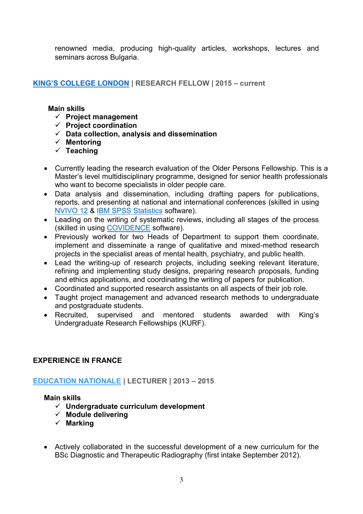renowned media, producing high-quality articles, workshops, lectures and seminars across Bulgaria.

## **KING'[S COLLEGE LONDON](https://www.kcl.ac.uk/) | RESEARCH FELLOW | 2015 – current**

#### **Main skills**

- **Project management**
- **Project coordination**
- **Data collection, analysis and dissemination**
- **Mentoring**
- **Teaching**
- Currently leading the research evaluation of the Older Persons Fellowship. This is a Master's level multidisciplinary programme, designed for senior health professionals who want to become specialists in older people care.
- Data analysis and dissemination, including drafting papers for publications, reports, and presenting at national and international conferences (skilled in using [NVIVO 12](https://www.qsrinternational.com/nvivo/nvivo-products/nvivo-12-plus) & [IBM SPSS Statistics](https://www.ibm.com/analytics/spss-statistics-software) software).
- Leading on the writing of systematic reviews, including all stages of the process (skilled in using [COVIDENCE](https://www.covidence.org/home) software).
- Previously worked for two Heads of Department to support them coordinate, implement and disseminate a range of qualitative and mixed-method research projects in the specialist areas of mental health, psychiatry, and public health.
- Lead the writing-up of research projects, including seeking relevant literature, refining and implementing study designs, preparing research proposals, funding and ethics applications, and coordinating the writing of papers for publication.
- Coordinated and supported research assistants on all aspects of their job role.
- Taught project management and advanced research methods to undergraduate and postgraduate students.
- Recruited, supervised and mentored students awarded with King's Undergraduate Research Fellowships (KURF).

## **EXPERIENCE IN FRANCE**

## **[EDUCATION NATIONALE](https://www.education.gouv.fr/pid37987/for-school-trust.html) | LECTURER | 2013 – 2015**

## **Main skills**

- **Undergraduate curriculum development**
- **Module delivering**
- **Marking**
- Actively collaborated in the successful development of a new curriculum for the BSc Diagnostic and Therapeutic Radiography (first intake September 2012).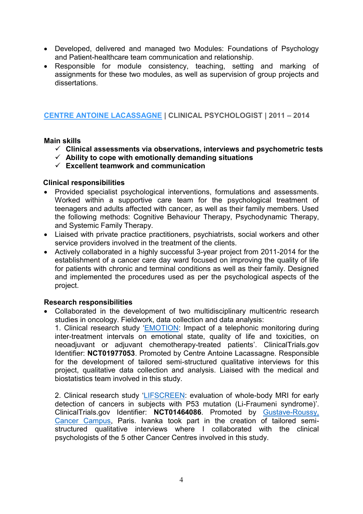- Developed, delivered and managed two Modules: Foundations of Psychology and Patient-healthcare team communication and relationship.
- Responsible for module consistency, teaching, setting and marking of assignments for these two modules, as well as supervision of group projects and dissertations.

#### **[CENTRE ANTOINE LACASSAGNE](https://www.centreantoinelacassagne.org/) | CLINICAL PSYCHOLOGIST | 2011 – 2014**

#### **Main skills**

- **Clinical assessments via observations, interviews and psychometric tests**
- **Ability to cope with emotionally demanding situations**
- **Excellent teamwork and communication**

#### **Clinical responsibilities**

- Provided specialist psychological interventions, formulations and assessments. Worked within a supportive care team for the psychological treatment of teenagers and adults affected with cancer, as well as their family members. Used the following methods: Cognitive Behaviour Therapy, Psychodynamic Therapy, and Systemic Family Therapy.
- Liaised with private practice practitioners, psychiatrists, social workers and other service providers involved in the treatment of the clients.
- Actively collaborated in a highly successful 3-year project from 2011-2014 for the establishment of a cancer care day ward focused on improving the quality of life for patients with chronic and terminal conditions as well as their family. Designed and implemented the procedures used as per the psychological aspects of the project.

#### **Research responsibilities**

 Collaborated in the development of two multidisciplinary multicentric research studies in oncology. Fieldwork, data collection and data analysis:

1. Clinical research study '[EMOTION:](https://clinicaltrials.gov/ct2/show/NCT01977053) Impact of a telephonic monitoring during inter-treatment intervals on emotional state, quality of life and toxicities, on neoadjuvant or adjuvant chemotherapy-treated patients'. ClinicalTrials.gov Identifier: **NCT01977053**. Promoted by Centre Antoine Lacassagne. Responsible for the development of tailored semi-structured qualitative interviews for this project, qualitative data collection and analysis. Liaised with the medical and biostatistics team involved in this study.

2. Clinical research study '[LIFSCREEN:](https://clinicaltrials.gov/ct2/show/NCT01464086) evaluation of whole-body MRI for early detection of cancers in subjects with P53 mutation (Li-Fraumeni syndrome)'. ClinicalTrials.gov Identifier: **NCT01464086**. Promoted by [Gustave-Roussy,](https://www.gustaveroussy.fr/)  [Cancer Campus,](https://www.gustaveroussy.fr/) Paris. Ivanka took part in the creation of tailored semistructured qualitative interviews where I collaborated with the clinical psychologists of the 5 other Cancer Centres involved in this study.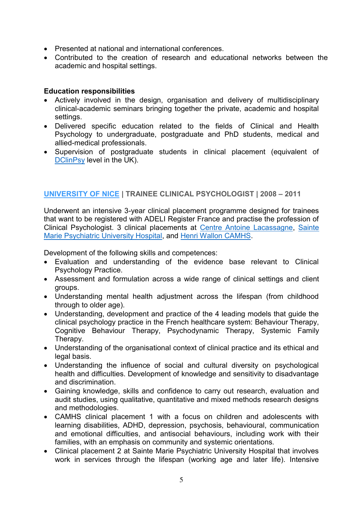- Presented at national and international conferences.
- Contributed to the creation of research and educational networks between the academic and hospital settings.

#### **Education responsibilities**

- Actively involved in the design, organisation and delivery of multidisciplinary clinical-academic seminars bringing together the private, academic and hospital settings.
- Delivered specific education related to the fields of Clinical and Health Psychology to undergraduate, postgraduate and PhD students, medical and allied-medical professionals.
- Supervision of postgraduate students in clinical placement (equivalent of [DClinPsy](https://www.kcl.ac.uk/study/postgraduate/research-courses/doctorate-in-clinical-psychology-dclinpsy) level in the UK).

## **[UNIVERSITY OF NICE](http://unice.fr/) | TRAINEE CLINICAL PSYCHOLOGIST | 2008 – 2011**

Underwent an intensive 3-year clinical placement programme designed for trainees that want to be registered with ADELI Register France and practise the profession of Clinical Psychologist. 3 clinical placements at [Centre Antoine Lacassagne,](https://www.centreantoinelacassagne.org/) [Sainte](http://www.ahsm.eu/etablissements_ahsm/06)  [Marie Psychiatric University Hospital,](http://www.ahsm.eu/etablissements_ahsm/06) and [Henri Wallon CAMHS.](https://www.sanitaire-social.com/fiche/institut-medico-educatif-henri-wallon-villeneuve-loubet-06270/06-1382)

Development of the following skills and competences:

- Evaluation and understanding of the evidence base relevant to Clinical Psychology Practice.
- Assessment and formulation across a wide range of clinical settings and client groups.
- Understanding mental health adjustment across the lifespan (from childhood through to older age).
- Understanding, development and practice of the 4 leading models that guide the clinical psychology practice in the French healthcare system: Behaviour Therapy, Cognitive Behaviour Therapy, Psychodynamic Therapy, Systemic Family Therapy.
- Understanding of the organisational context of clinical practice and its ethical and legal basis.
- Understanding the influence of social and cultural diversity on psychological health and difficulties. Development of knowledge and sensitivity to disadvantage and discrimination.
- Gaining knowledge, skills and confidence to carry out research, evaluation and audit studies, using qualitative, quantitative and mixed methods research designs and methodologies.
- CAMHS clinical placement 1 with a focus on children and adolescents with learning disabilities, ADHD, depression, psychosis, behavioural, communication and emotional difficulties, and antisocial behaviours, including work with their families, with an emphasis on community and systemic orientations.
- Clinical placement 2 at Sainte Marie Psychiatric University Hospital that involves work in services through the lifespan (working age and later life). Intensive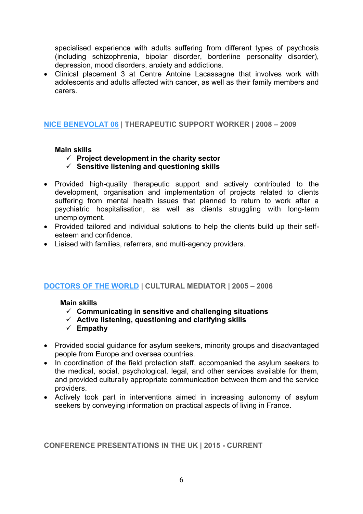specialised experience with adults suffering from different types of psychosis (including schizophrenia, bipolar disorder, borderline personality disorder), depression, mood disorders, anxiety and addictions.

 Clinical placement 3 at Centre Antoine Lacassagne that involves work with adolescents and adults affected with cancer, as well as their family members and carers.

#### **[NICE BENEVOLAT 06](https://www.francebenevolat.org/associations/reseau/association/421) | THERAPEUTIC SUPPORT WORKER | 2008 – 2009**

#### **Main skills**

- **Project development in the charity sector**
- **Sensitive listening and questioning skills**
- Provided high-quality therapeutic support and actively contributed to the development, organisation and implementation of projects related to clients suffering from mental health issues that planned to return to work after a psychiatric hospitalisation, as well as clients struggling with long-term unemployment.
- Provided tailored and individual solutions to help the clients build up their selfesteem and confidence.
- Liaised with families, referrers, and multi-agency providers.

#### **[DOCTORS OF THE WORLD](https://www.medecinsdumonde.org/fr) | CULTURAL MEDIATOR | 2005 – 2006**

#### **Main skills**

- **Communicating in sensitive and challenging situations**
- **Active listening, questioning and clarifying skills**
- **Empathy**
- Provided social guidance for asylum seekers, minority groups and disadvantaged people from Europe and oversea countries.
- In coordination of the field protection staff, accompanied the asylum seekers to the medical, social, psychological, legal, and other services available for them, and provided culturally appropriate communication between them and the service providers.
- Actively took part in interventions aimed in increasing autonomy of asylum seekers by conveying information on practical aspects of living in France.

#### **CONFERENCE PRESENTATIONS IN THE UK | 2015 - CURRENT**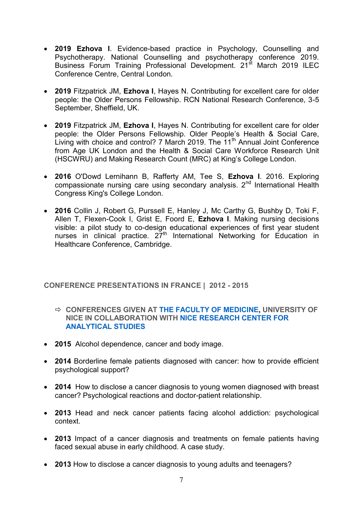- **2019 Ezhova I**. Evidence-based practice in Psychology, Counselling and Psychotherapy. National Counselling and psychotherapy conference 2019. Business Forum Training Professional Development. 21st March 2019 ILEC Conference Centre, Central London.
- **2019** Fitzpatrick JM, **Ezhova I**, Hayes N. Contributing for excellent care for older people: the Older Persons Fellowship. RCN National Research Conference, 3-5 September, Sheffield, UK.
- **2019** Fitzpatrick JM, **Ezhova I**, Hayes N. Contributing for excellent care for older people: the Older Persons Fellowship. Older People's Health & Social Care, Living with choice and control? 7 March 2019. The  $11<sup>th</sup>$  Annual Joint Conference from Age UK London and the Health & Social Care Workforce Research Unit (HSCWRU) and Making Research Count (MRC) at King's College London.
- **2016** O'Dowd Lernihann B, Rafferty AM, Tee S, **Ezhova I**. 2016. Exploring compassionate nursing care using secondary analysis. 2<sup>nd</sup> International Health Congress King's College London.
- **2016** Collin J, Robert G, Purssell E, Hanley J, Mc Carthy G, Bushby D, Toki F, Allen T, Flexen-Cook I, Grist E, Foord E, **Ezhova I**. Making nursing decisions visible: a pilot study to co-design educational experiences of first year student nurses in clinical practice.  $27<sup>th</sup>$  International Networking for Education in Healthcare Conference, Cambridge.

#### **CONFERENCE PRESENTATIONS IN FRANCE | 2012 - 2015**

- **CONFERENCES GIVEN AT [THE FACULTY OF MEDICINE,](http://unice.fr/faculte-de-medecine/presentation) UNIVERSITY OF NICE IN COLLABORATION WITH [NICE RESEARCH CENTER FOR](http://www.net1901.org/association/CREAN-CENTRE-DE-RECHERCHE-ESPACE-ANALYTIQUE-DE-NICE-ASSOCIATION-DE-FORMATION-PSYCHANALYTIQUE-ET-DE-RECHERCHES-FREUDIENNE--ECOLE-PRATIQUE-DE-PSYCHANALYSE-DE-NICE,943095.html)  [ANALYTICAL STUDIES](http://www.net1901.org/association/CREAN-CENTRE-DE-RECHERCHE-ESPACE-ANALYTIQUE-DE-NICE-ASSOCIATION-DE-FORMATION-PSYCHANALYTIQUE-ET-DE-RECHERCHES-FREUDIENNE--ECOLE-PRATIQUE-DE-PSYCHANALYSE-DE-NICE,943095.html)**
- **2015** Alcohol dependence, cancer and body image.
- **2014** Borderline female patients diagnosed with cancer: how to provide efficient psychological support?
- **2014** How to disclose a cancer diagnosis to young women diagnosed with breast cancer? Psychological reactions and doctor-patient relationship.
- **2013** Head and neck cancer patients facing alcohol addiction: psychological context.
- **2013** Impact of a cancer diagnosis and treatments on female patients having faced sexual abuse in early childhood. A case study.
- **2013** How to disclose a cancer diagnosis to young adults and teenagers?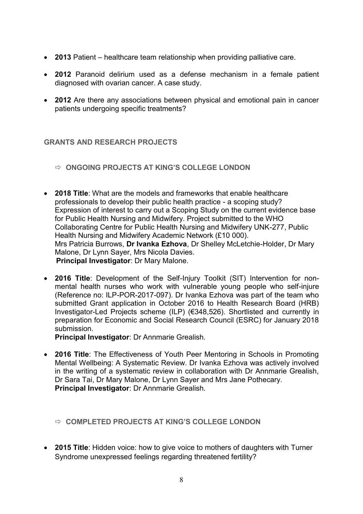- **2013** Patient healthcare team relationship when providing palliative care.
- **2012** Paranoid delirium used as a defense mechanism in a female patient diagnosed with ovarian cancer. A case study.
- **2012** Are there any associations between physical and emotional pain in cancer patients undergoing specific treatments?

#### **GRANTS AND RESEARCH PROJECTS**

- **ONGOING PROJECTS AT KING'S COLLEGE LONDON**
- **2018 Title**: What are the models and frameworks that enable healthcare professionals to develop their public health practice - a scoping study? Expression of interest to carry out a Scoping Study on the current evidence base for Public Health Nursing and Midwifery. Project submitted to the WHO Collaborating Centre for Public Health Nursing and Midwifery UNK-277, Public Health Nursing and Midwifery Academic Network (£10 000). Mrs Patricia Burrows, **Dr Ivanka Ezhova**, Dr Shelley McLetchie-Holder, Dr Mary Malone, Dr Lynn Sayer, Mrs Nicola Davies.  **Principal Investigator**: Dr Mary Malone.
- **2016 Title**: Development of the Self-Injury Toolkit (SIT) Intervention for nonmental health nurses who work with vulnerable young people who self-injure (Reference no: ILP-POR-2017-097). Dr Ivanka Ezhova was part of the team who submitted Grant application in October 2016 to Health Research Board (HRB) Investigator-Led Projects scheme (ILP) (€348,526). Shortlisted and currently in preparation for Economic and Social Research Council (ESRC) for January 2018 submission.

**Principal Investigator**: Dr Annmarie Grealish.

- **2016 Title**: The Effectiveness of Youth Peer Mentoring in Schools in Promoting Mental Wellbeing: A Systematic Review. Dr Ivanka Ezhova was actively involved in the writing of a systematic review in collaboration with Dr Annmarie Grealish, Dr Sara Tai, Dr Mary Malone, Dr Lynn Sayer and Mrs Jane Pothecary. **Principal Investigator**: Dr Annmarie Grealish.
	- **COMPLETED PROJECTS AT KING'S COLLEGE LONDON**
- **2015 Title**: Hidden voice: how to give voice to mothers of daughters with Turner Syndrome unexpressed feelings regarding threatened fertility?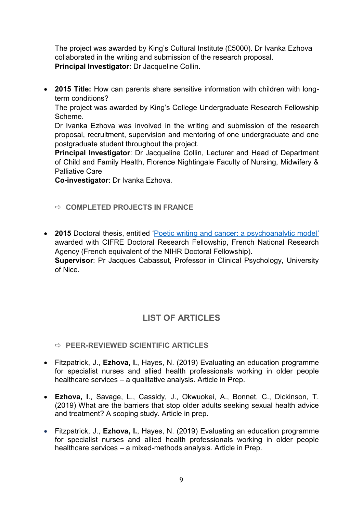The project was awarded by King's Cultural Institute (£5000). Dr Ivanka Ezhova collaborated in the writing and submission of the research proposal. **Principal Investigator**: Dr Jacqueline Collin.

 **2015 Title:** How can parents share sensitive information with children with longterm conditions?

The project was awarded by King's College Undergraduate Research Fellowship Scheme.

Dr Ivanka Ezhova was involved in the writing and submission of the research proposal, recruitment, supervision and mentoring of one undergraduate and one postgraduate student throughout the project.

**Principal Investigator**: Dr Jacqueline Collin, Lecturer and Head of Department of Child and Family Health, Florence Nightingale Faculty of Nursing, Midwifery & Palliative Care

**Co-investigator**: Dr Ivanka Ezhova.

## **COMPLETED PROJECTS IN FRANCE**

 **2015** Doctoral thesis, entitled '[Poetic writing and cancer: a psychoanalytic model](http://www.theses.fr/2015NICE2026)' awarded with CIFRE Doctoral Research Fellowship, French National Research Agency (French equivalent of the NIHR Doctoral Fellowship). **Supervisor**: Pr Jacques Cabassut, Professor in Clinical Psychology, University of Nice.

## **LIST OF ARTICLES**

## **PEER-REVIEWED SCIENTIFIC ARTICLES**

- Fitzpatrick, J., **Ezhova, I.**, Hayes, N. (2019) Evaluating an education programme for specialist nurses and allied health professionals working in older people healthcare services – a qualitative analysis. Article in Prep.
- **Ezhova, I**., Savage, L., Cassidy, J., Okwuokei, A., Bonnet, C., Dickinson, T. (2019) What are the barriers that stop older adults seeking sexual health advice and treatment? A scoping study. Article in prep.
- Fitzpatrick, J., **Ezhova, I.**, Hayes, N. (2019) Evaluating an education programme for specialist nurses and allied health professionals working in older people healthcare services – a mixed-methods analysis. Article in Prep.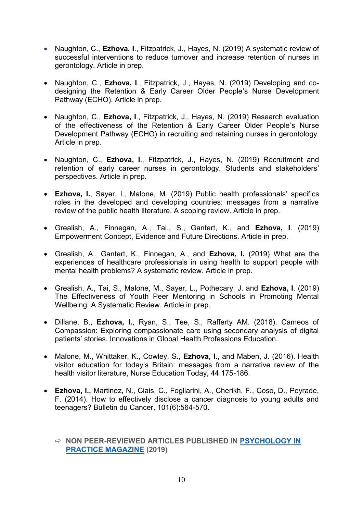- Naughton, C., **Ezhova, I.**, Fitzpatrick, J., Hayes, N. (2019) A systematic review of successful interventions to reduce turnover and increase retention of nurses in gerontology. Article in prep.
- Naughton, C., **Ezhova, I**., Fitzpatrick, J., Hayes, N. (2019) Developing and codesigning the Retention & Early Career Older People's Nurse Development Pathway (ECHO). Article in prep.
- Naughton, C., **Ezhova, I**., Fitzpatrick, J., Hayes, N. (2019) Research evaluation of the effectiveness of the Retention & Early Career Older People's Nurse Development Pathway (ECHO) in recruiting and retaining nurses in gerontology. Article in prep.
- Naughton, C., **Ezhova, I**., Fitzpatrick, J., Hayes, N. (2019) Recruitment and retention of early career nurses in gerontology. Students and stakeholders' perspectives. Article in prep.
- **Ezhova, I.**, Sayer, l., Malone, M. (2019) Public health professionals' specifics roles in the developed and developing countries: messages from a narrative review of the public health literature. A scoping review. Article in prep.
- Grealish, A., Finnegan, A., Tai., S., Gantert, K., and **Ezhova, I**. (2019) Empowerment Concept, Evidence and Future Directions. Article in prep.
- Grealish, A., Gantert, K., Finnegan, A., and **Ezhova, I.** (2019) What are the experiences of healthcare professionals in using health to support people with mental health problems? A systematic review. Article in prep.
- Grealish, A., Tai, S., Malone, M., Sayer, L., Pothecary, J. and **Ezhova, I**. (2019) The Effectiveness of Youth Peer Mentoring in Schools in Promoting Mental Wellbeing: A Systematic Review. Article in prep.
- Dillane, B., **Ezhova, I.**, Ryan, S., Tee, S., Rafferty AM. (2018). Cameos of Compassion: Exploring compassionate care using secondary analysis of digital patients' stories. Innovations in Global Health Professions Education.
- Malone, M., Whittaker, K., Cowley, S., **Ezhova, I.,** and Maben, J. (2016). Health visitor education for today's Britain: messages from a narrative review of the health visitor literature, Nurse Education Today, 44:175-186.
- **Ezhova, I.,** Martinez, N., Ciais, C., Fogliarini, A., Cherikh, F., Coso, D., Peyrade, F. (2014). How to effectively disclose a cancer diagnosis to young adults and teenagers? Bulletin du Cancer, 101(6):564-570.

#### **NON PEER-REVIEWED ARTICLES PUBLISHED IN [PSYCHOLOGY IN](https://psychology-in-practice-magazine.co.uk/)  [PRACTICE MAGAZINE](https://psychology-in-practice-magazine.co.uk/) (2019)**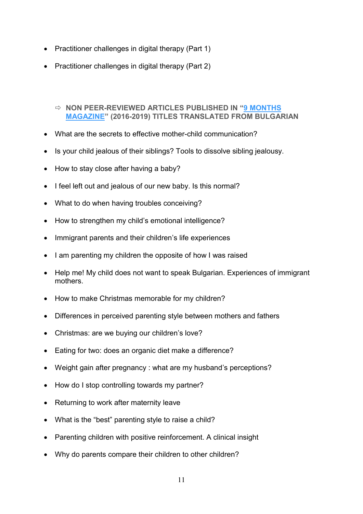- Practitioner challenges in digital therapy (Part 1)
- Practitioner challenges in digital therapy (Part 2)

#### **NON PEER-REVIEWED ARTICLES PUBLISHED IN "[9 MONTHS](http://9m-bg.com/)  [MAGAZINE](http://9m-bg.com/)" (2016-2019) TITLES TRANSLATED FROM BULGARIAN**

- What are the secrets to effective mother-child communication?
- Is your child jealous of their siblings? Tools to dissolve sibling jealousy.
- How to stay close after having a baby?
- I feel left out and jealous of our new baby. Is this normal?
- What to do when having troubles conceiving?
- How to strengthen my child's emotional intelligence?
- Immigrant parents and their children's life experiences
- I am parenting my children the opposite of how I was raised
- Help me! My child does not want to speak Bulgarian. Experiences of immigrant mothers.
- How to make Christmas memorable for my children?
- Differences in perceived parenting style between mothers and fathers
- Christmas: are we buying our children's love?
- Eating for two: does an organic diet make a difference?
- Weight gain after pregnancy : what are my husband's perceptions?
- How do I stop controlling towards my partner?
- Returning to work after maternity leave
- What is the "best" parenting style to raise a child?
- Parenting children with positive reinforcement. A clinical insight
- Why do parents compare their children to other children?